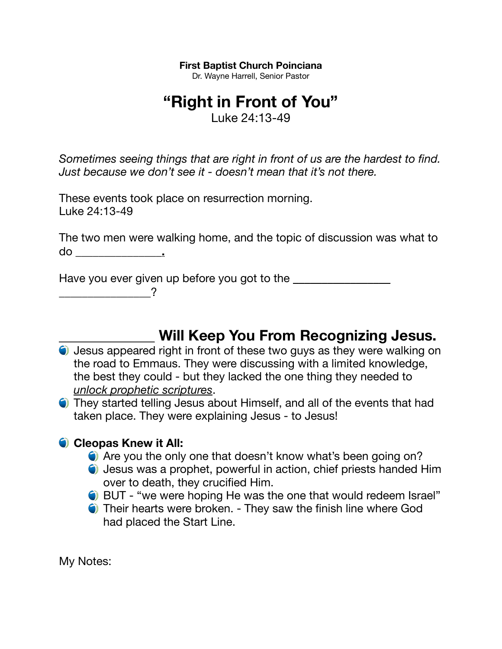#### **First Baptist Church Poinciana**

Dr. Wayne Harrell, Senior Pastor

## **"Right in Front of You"**

#### Luke 24:13-49

*Sometimes seeing things that are right in front of us are the hardest to find. Just because we don't see it - doesn't mean that it's not there.*

These events took place on resurrection morning. Luke 24:13-49

The two men were walking home, and the topic of discussion was what to do \_\_\_\_\_\_\_\_\_\_\_\_\_\_\_**.** 

Have you ever given up before you got to the

**\_\_\_\_\_\_\_\_\_\_\_\_\_\_\_\_**?

### **\_\_\_\_\_\_\_\_\_\_\_\_\_ Will Keep You From Recognizing Jesus.**

- Jesus appeared right in front of these two guys as they were walking on the road to Emmaus. They were discussing with a limited knowledge, the best they could - but they lacked the one thing they needed to *unlock prophetic scriptures*.
- They started telling Jesus about Himself, and all of the events that had taken place. They were explaining Jesus - to Jesus!

#### **Cleopas Knew it All:**

- Are you the only one that doesn't know what's been going on?
- Jesus was a prophet, powerful in action, chief priests handed Him over to death, they crucified Him.
- BUT "we were hoping He was the one that would redeem Israel"
- Their hearts were broken. They saw the finish line where God had placed the Start Line.

My Notes: